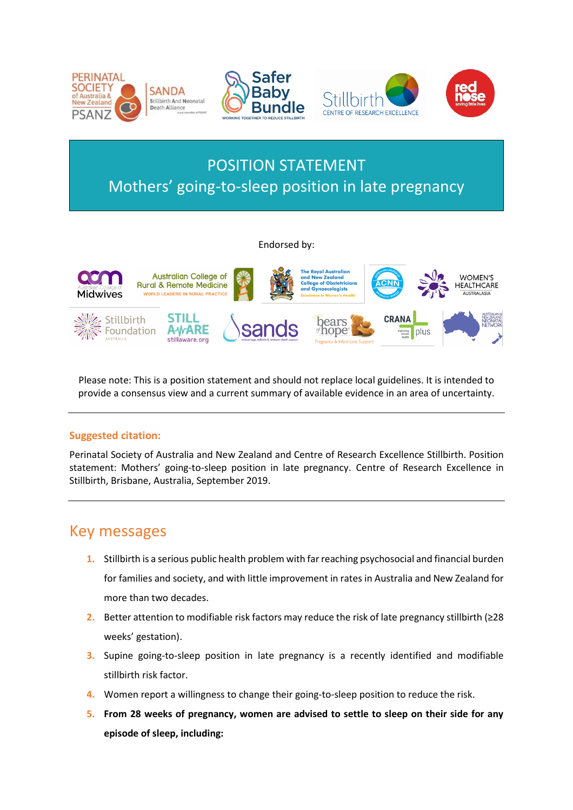

# POSITION STATEMENT Mothers' going-to-sleep position in late pregnancy

#### Endorsed by:



Please note: This is a position statement and should not replace local guidelines. It is intended to provide a consensus view and a current summary of available evidence in an area of uncertainty.

#### **Suggested citation:**

Perinatal Society of Australia and New Zealand and Centre of Research Excellence Stillbirth. Position statement: Mothers' going-to-sleep position in late pregnancy. Centre of Research Excellence in Stillbirth, Brisbane, Australia, September 2019.

### <span id="page-0-0"></span>Key messages

- **1.** Stillbirth is a serious public health problem with far reaching psychosocial and financial burden for families and society, and with little improvement in rates in Australia and New Zealand for more than two decades.
- **2.** Better attention to modifiable risk factors may reduce the risk of late pregnancy stillbirth (≥28 weeks' gestation).
- **3.** Supine going-to-sleep position in late pregnancy is a recently identified and modifiable stillbirth risk factor.
- **4.** Women report a willingness to change their going-to-sleep position to reduce the risk.
- **5. From 28 weeks of pregnancy, women are advised to settle to sleep on their side for any episode of sleep, including:**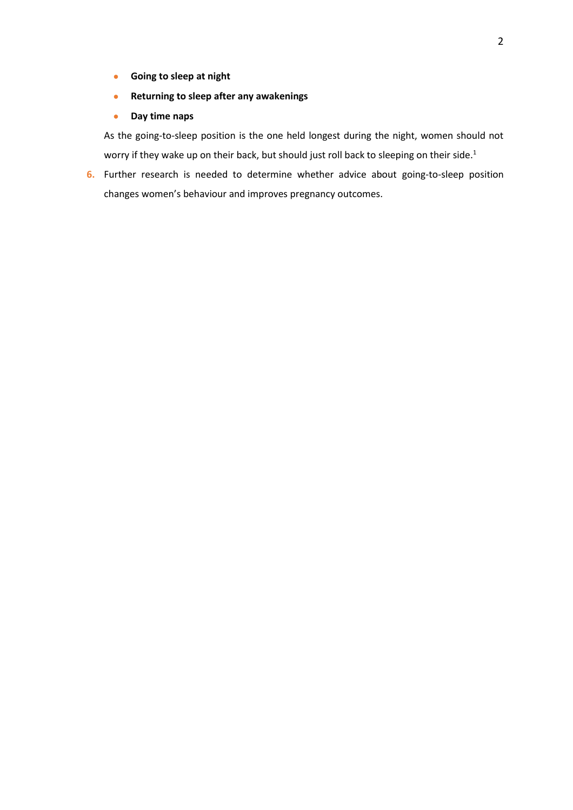- **Going to sleep at night**
- **•** Returning to sleep after any awakenings
- **Day time naps**

As the going-to-sleep position is the one held longest during the night, women should not worry if they wake up on their back, but should just roll back to sleeping on their side. $^{\rm 1}$ 

**6.** Further research is needed to determine whether advice about going-to-sleep position changes women's behaviour and improves pregnancy outcomes.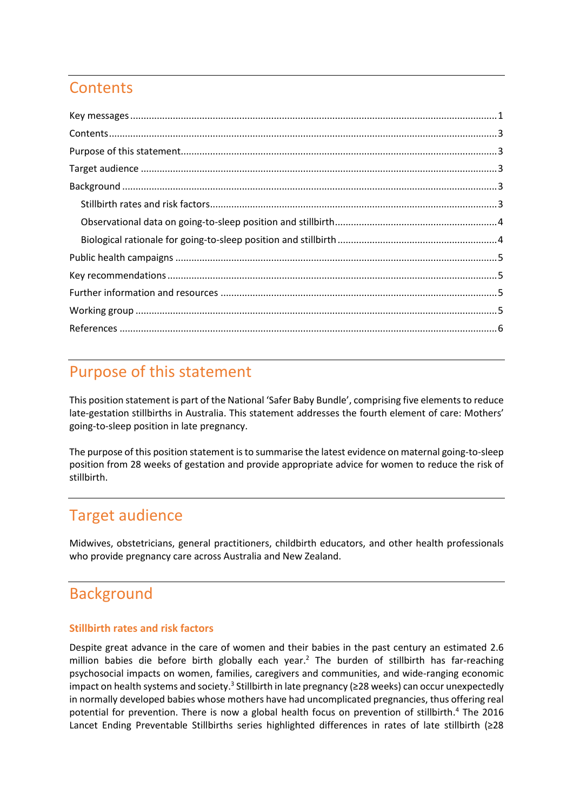# <span id="page-2-0"></span>**Contents**

| $\textbf{Key messages} \textit{} \textit{} \textit{} \textit{} \textit{} \textit{} \textit{} \textit{} \textit{} \textit{} \textit{} \textit{} \textit{} \textit{} \textit{} \textit{} \textit{} \textit{} \textit{} \textit{} \textit{} \textit{} \textit{} \textit{} \textit{} \textit{} \textit{} \textit{} \textit{} \textit{} \textit{} \textit{} \textit{} \textit{} \textit{} \textit$ |  |
|-----------------------------------------------------------------------------------------------------------------------------------------------------------------------------------------------------------------------------------------------------------------------------------------------------------------------------------------------------------------------------------------------|--|
|                                                                                                                                                                                                                                                                                                                                                                                               |  |
|                                                                                                                                                                                                                                                                                                                                                                                               |  |
|                                                                                                                                                                                                                                                                                                                                                                                               |  |
|                                                                                                                                                                                                                                                                                                                                                                                               |  |
|                                                                                                                                                                                                                                                                                                                                                                                               |  |
|                                                                                                                                                                                                                                                                                                                                                                                               |  |
|                                                                                                                                                                                                                                                                                                                                                                                               |  |
|                                                                                                                                                                                                                                                                                                                                                                                               |  |
|                                                                                                                                                                                                                                                                                                                                                                                               |  |
|                                                                                                                                                                                                                                                                                                                                                                                               |  |
|                                                                                                                                                                                                                                                                                                                                                                                               |  |
|                                                                                                                                                                                                                                                                                                                                                                                               |  |

## <span id="page-2-1"></span>Purpose of this statement

This position statement is part of the National 'Safer Baby Bundle', comprising five elements to reduce late-gestation stillbirths in Australia. This statement addresses the fourth element of care: Mothers' going-to-sleep position in late pregnancy.

The purpose of this position statement is to summarise the latest evidence on maternal going-to-sleep position from 28 weeks of gestation and provide appropriate advice for women to reduce the risk of stillbirth.

## <span id="page-2-2"></span>Target audience

Midwives, obstetricians, general practitioners, childbirth educators, and other health professionals who provide pregnancy care across Australia and New Zealand.

# <span id="page-2-3"></span>Background

#### <span id="page-2-4"></span>**Stillbirth rates and risk factors**

Despite great advance in the care of women and their babies in the past century an estimated 2.6 million babies die before birth globally each year. <sup>2</sup> The burden of stillbirth has far-reaching psychosocial impacts on women, families, caregivers and communities, and wide-ranging economic impact on health systems and society. $^3$  Stillbirth in late pregnancy (≥28 weeks) can occur unexpectedly in normally developed babies whose mothers have had uncomplicated pregnancies, thus offering real potential for prevention. There is now a global health focus on prevention of stillbirth. <sup>4</sup> The 2016 Lancet Ending Preventable Stillbirths series highlighted differences in rates of late stillbirth (≥28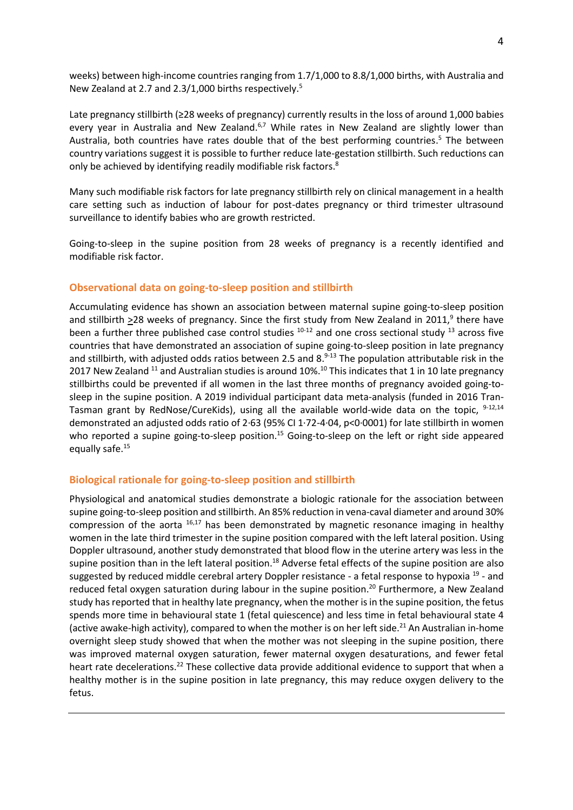weeks) between high-income countries ranging from 1.7/1,000 to 8.8/1,000 births, with Australia and New Zealand at 2.7 and 2.3/1,000 births respectively. 5

Late pregnancy stillbirth (≥28 weeks of pregnancy) currently results in the loss of around 1,000 babies every year in Australia and New Zealand.<sup>6,7</sup> While rates in New Zealand are slightly lower than Australia, both countries have rates double that of the best performing countries. <sup>5</sup> The between country variations suggest it is possible to further reduce late-gestation stillbirth. Such reductions can only be achieved by identifying readily modifiable risk factors.<sup>8</sup>

Many such modifiable risk factors for late pregnancy stillbirth rely on clinical management in a health care setting such as induction of labour for post-dates pregnancy or third trimester ultrasound surveillance to identify babies who are growth restricted.

Going-to-sleep in the supine position from 28 weeks of pregnancy is a recently identified and modifiable risk factor.

#### <span id="page-3-0"></span>**Observational data on going-to-sleep position and stillbirth**

Accumulating evidence has shown an association between maternal supine going-to-sleep position and stillbirth  $\geq$ 28 weeks of pregnancy. Since the first study from New Zealand in 2011,<sup>9</sup> there have been a further three published case control studies  $10^{-12}$  and one cross sectional study  $13$  across five countries that have demonstrated an association of supine going-to-sleep position in late pregnancy and stillbirth, with adjusted odds ratios between 2.5 and 8.<sup>9-13</sup> The population attributable risk in the 2017 New Zealand  $^{11}$  and Australian studies is around 10%. $^{10}$  This indicates that 1 in 10 late pregnancy stillbirths could be prevented if all women in the last three months of pregnancy avoided going-tosleep in the supine position. A 2019 individual participant data meta-analysis (funded in 2016 Tran-Tasman grant by RedNose/CureKids), using all the available world-wide data on the topic, <sup>9-12,14</sup> demonstrated an adjusted odds ratio of 2·63 (95% CI 1·72-4·04, p<0·0001) for late stillbirth in women who reported a supine going-to-sleep position.<sup>15</sup> Going-to-sleep on the left or right side appeared equally safe. 15

#### <span id="page-3-1"></span>**Biological rationale for going-to-sleep position and stillbirth**

Physiological and anatomical studies demonstrate a biologic rationale for the association between supine going-to-sleep position and stillbirth. An 85% reduction in vena-caval diameter and around 30% compression of the aorta  $16,17$  has been demonstrated by magnetic resonance imaging in healthy women in the late third trimester in the supine position compared with the left lateral position. Using Doppler ultrasound, another study demonstrated that blood flow in the uterine artery was less in the supine position than in the left lateral position.<sup>18</sup> Adverse fetal effects of the supine position are also suggested by reduced middle cerebral artery Doppler resistance - a fetal response to hypoxia <sup>19</sup> - and reduced fetal oxygen saturation during labour in the supine position.<sup>20</sup> Furthermore, a New Zealand study has reported that in healthy late pregnancy, when the mother is in the supine position, the fetus spends more time in behavioural state 1 (fetal quiescence) and less time in fetal behavioural state 4 (active awake-high activity), compared to when the mother is on her left side.<sup>21</sup> An Australian in-home overnight sleep study showed that when the mother was not sleeping in the supine position, there was improved maternal oxygen saturation, fewer maternal oxygen desaturations, and fewer fetal heart rate decelerations.<sup>22</sup> These collective data provide additional evidence to support that when a healthy mother is in the supine position in late pregnancy, this may reduce oxygen delivery to the fetus.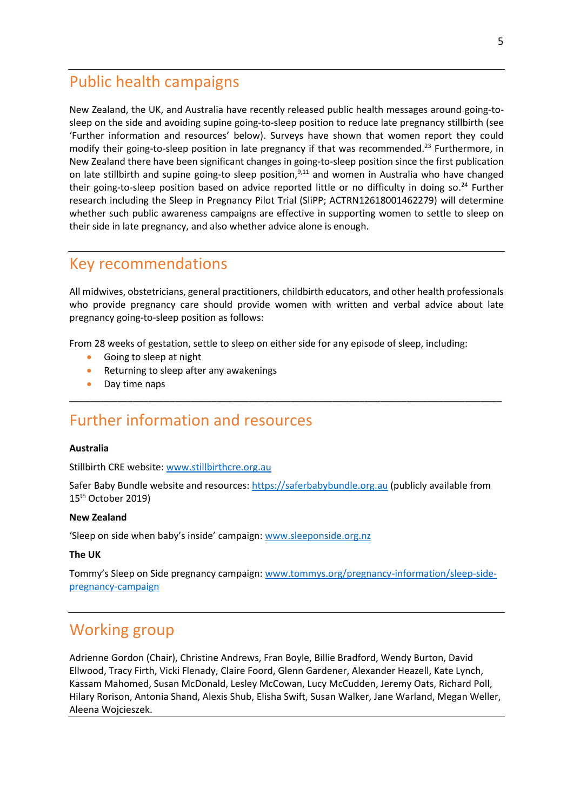### <span id="page-4-0"></span>Public health campaigns

New Zealand, the UK, and Australia have recently released public health messages around going-tosleep on the side and avoiding supine going-to-sleep position to reduce late pregnancy stillbirth (see 'Further information and resources' below). Surveys have shown that women report they could modify their going-to-sleep position in late pregnancy if that was recommended.<sup>23</sup> Furthermore, in New Zealand there have been significant changes in going-to-sleep position since the first publication on late stillbirth and supine going-to sleep position,<sup>9,11</sup> and women in Australia who have changed their going-to-sleep position based on advice reported little or no difficulty in doing so. <sup>24</sup> Further research including the Sleep in Pregnancy Pilot Trial (SliPP; ACTRN12618001462279) will determine whether such public awareness campaigns are effective in supporting women to settle to sleep on their side in late pregnancy, and also whether advice alone is enough.

### <span id="page-4-1"></span>Key recommendations

All midwives, obstetricians, general practitioners, childbirth educators, and other health professionals who provide pregnancy care should provide women with written and verbal advice about late pregnancy going-to-sleep position as follows:

\_\_\_\_\_\_\_\_\_\_\_\_\_\_\_\_\_\_\_\_\_\_\_\_\_\_\_\_\_\_\_\_\_\_\_\_\_\_\_\_\_\_\_\_\_\_\_\_\_\_\_\_\_\_\_\_\_\_\_\_\_\_\_\_\_\_\_\_\_\_\_\_\_\_\_\_\_\_\_\_\_\_

From 28 weeks of gestation, settle to sleep on either side for any episode of sleep, including:

- Going to sleep at night
- Returning to sleep after any awakenings
- Day time naps

# <span id="page-4-2"></span>Further information and resources

#### **Australia**

Stillbirth CRE website[: www.stillbirthcre.org.au](http://www.stillbirthcre.org.au/)

Safer Baby Bundle website and resources[: https://saferbabybundle.org.au](https://saferbabybundle.org.au/) (publicly available from 15th October 2019)

#### **New Zealand**

'Sleep on side when baby's inside' campaign: [www.sleeponside.org.nz](http://www.sleeponside.org.nz/)

#### **The UK**

Tommy's Sleep on Side pregnancy campaign: [www.tommys.org/pregnancy-information/sleep-side](http://www.tommys.org/pregnancy-information/sleep-side-pregnancy-campaign)[pregnancy-campaign](http://www.tommys.org/pregnancy-information/sleep-side-pregnancy-campaign)

### <span id="page-4-3"></span>Working group

Adrienne Gordon (Chair), Christine Andrews, Fran Boyle, Billie Bradford, Wendy Burton, David Ellwood, Tracy Firth, Vicki Flenady, Claire Foord, Glenn Gardener, Alexander Heazell, Kate Lynch, Kassam Mahomed, Susan McDonald, Lesley McCowan, Lucy McCudden, Jeremy Oats, Richard Poll, Hilary Rorison, Antonia Shand, Alexis Shub, Elisha Swift, Susan Walker, Jane Warland, Megan Weller, Aleena Wojcieszek.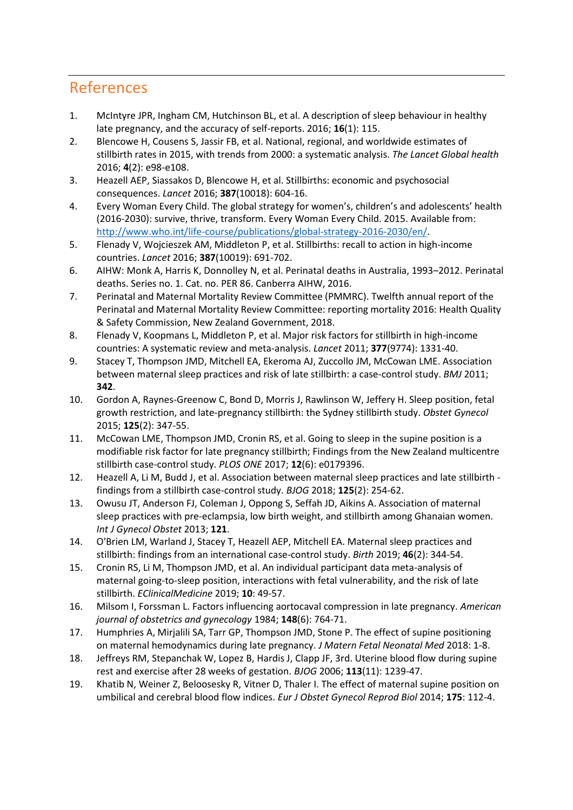## <span id="page-5-0"></span>References

- 1. McIntyre JPR, Ingham CM, Hutchinson BL, et al. A description of sleep behaviour in healthy late pregnancy, and the accuracy of self-reports. 2016; **16**(1): 115.
- 2. Blencowe H, Cousens S, Jassir FB, et al. National, regional, and worldwide estimates of stillbirth rates in 2015, with trends from 2000: a systematic analysis. *The Lancet Global health* 2016; **4**(2): e98-e108.
- 3. Heazell AEP, Siassakos D, Blencowe H, et al. Stillbirths: economic and psychosocial consequences. *Lancet* 2016; **387**(10018): 604-16.
- 4. Every Woman Every Child. The global strategy for women's, children's and adolescents' health (2016-2030): survive, thrive, transform. Every Woman Every Child. 2015. Available from: [http://www.who.int/life-course/publications/global-strategy-2016-2030/en/.](http://www.who.int/life-course/publications/global-strategy-2016-2030/en/)
- 5. Flenady V, Wojcieszek AM, Middleton P, et al. Stillbirths: recall to action in high-income countries. *Lancet* 2016; **387**(10019): 691-702.
- 6. AIHW: Monk A, Harris K, Donnolley N, et al. Perinatal deaths in Australia, 1993–2012. Perinatal deaths. Series no. 1. Cat. no. PER 86. Canberra AIHW, 2016.
- 7. Perinatal and Maternal Mortality Review Committee (PMMRC). Twelfth annual report of the Perinatal and Maternal Mortality Review Committee: reporting mortality 2016: Health Quality & Safety Commission, New Zealand Government, 2018.
- 8. Flenady V, Koopmans L, Middleton P, et al. Major risk factors for stillbirth in high-income countries: A systematic review and meta-analysis. *Lancet* 2011; **377**(9774): 1331-40.
- 9. Stacey T, Thompson JMD, Mitchell EA, Ekeroma AJ, Zuccollo JM, McCowan LME. Association between maternal sleep practices and risk of late stillbirth: a case-control study. *BMJ* 2011; **342**.
- 10. Gordon A, Raynes-Greenow C, Bond D, Morris J, Rawlinson W, Jeffery H. Sleep position, fetal growth restriction, and late-pregnancy stillbirth: the Sydney stillbirth study. *Obstet Gynecol* 2015; **125**(2): 347-55.
- 11. McCowan LME, Thompson JMD, Cronin RS, et al. Going to sleep in the supine position is a modifiable risk factor for late pregnancy stillbirth; Findings from the New Zealand multicentre stillbirth case-control study. *PLOS ONE* 2017; **12**(6): e0179396.
- 12. Heazell A, Li M, Budd J, et al. Association between maternal sleep practices and late stillbirth findings from a stillbirth case-control study. *BJOG* 2018; **125**(2): 254-62.
- 13. Owusu JT, Anderson FJ, Coleman J, Oppong S, Seffah JD, Aikins A. Association of maternal sleep practices with pre-eclampsia, low birth weight, and stillbirth among Ghanaian women. *Int J Gynecol Obstet* 2013; **121**.
- 14. O'Brien LM, Warland J, Stacey T, Heazell AEP, Mitchell EA. Maternal sleep practices and stillbirth: findings from an international case-control study. *Birth* 2019; **46**(2): 344-54.
- 15. Cronin RS, Li M, Thompson JMD, et al. An individual participant data meta-analysis of maternal going-to-sleep position, interactions with fetal vulnerability, and the risk of late stillbirth. *EClinicalMedicine* 2019; **10**: 49-57.
- 16. Milsom I, Forssman L. Factors influencing aortocaval compression in late pregnancy. *American journal of obstetrics and gynecology* 1984; **148**(6): 764-71.
- 17. Humphries A, Mirjalili SA, Tarr GP, Thompson JMD, Stone P. The effect of supine positioning on maternal hemodynamics during late pregnancy. *J Matern Fetal Neonatal Med* 2018: 1-8.
- 18. Jeffreys RM, Stepanchak W, Lopez B, Hardis J, Clapp JF, 3rd. Uterine blood flow during supine rest and exercise after 28 weeks of gestation. *BJOG* 2006; **113**(11): 1239-47.
- 19. Khatib N, Weiner Z, Beloosesky R, Vitner D, Thaler I. The effect of maternal supine position on umbilical and cerebral blood flow indices. *Eur J Obstet Gynecol Reprod Biol* 2014; **175**: 112-4.